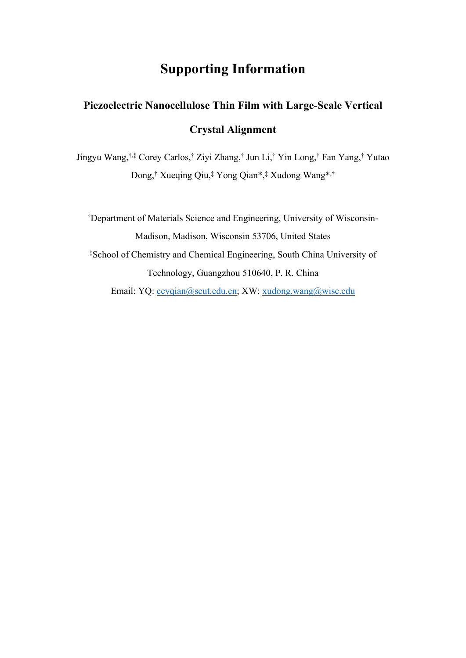## **Supporting Information**

## **Piezoelectric Nanocellulose Thin Film with Large-Scale Vertical Crystal Alignment**

Jingyu Wang, †,‡ Corey Carlos,† Ziyi Zhang,† Jun Li,† Yin Long,† Fan Yang,† Yutao Dong,† Xueqing Qiu,‡ Yong Qian\*,‡ Xudong Wang\*,†

†Department of Materials Science and Engineering, University of Wisconsin-Madison, Madison, Wisconsin 53706, United States ‡School of Chemistry and Chemical Engineering, South China University of Technology, Guangzhou 510640, P. R. China Email: YQ: [ceyqian@scut.edu.cn;](mailto:ceyqian@scut.edu.cn) XW: [xudong.wang@wisc.edu](mailto:xudong.wang@wisc.edu)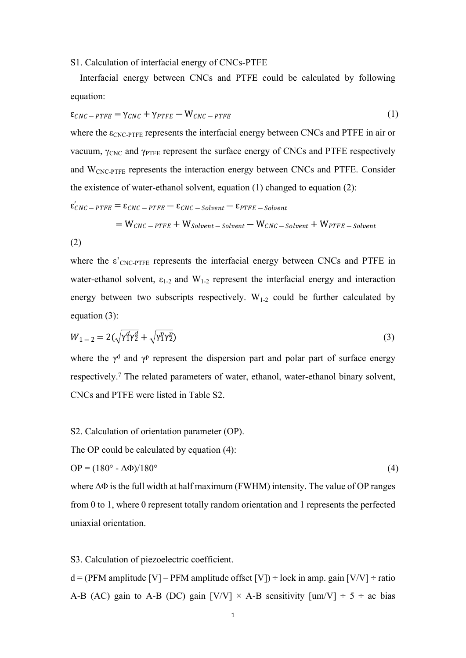S1. Calculation of interfacial energy of CNCs-PTFE

Interfacial energy between CNCs and PTFE could be calculated by following equation:

$$
\varepsilon_{CNC-PTFE} = \gamma_{CNC} + \gamma_{PTFE} - W_{CNC-PTFE}
$$
 (1)

where the  $\epsilon_{\text{CNC-PTFE}}$  represents the interfacial energy between CNCs and PTFE in air or vacuum,  $\gamma_{CNC}$  and  $\gamma_{PTFE}$  represent the surface energy of CNCs and PTFE respectively and WCNC-PTFE represents the interaction energy between CNCs and PTFE. Consider the existence of water-ethanol solvent, equation (1) changed to equation (2):

$$
\varepsilon'_{CNC-PTFE} = \varepsilon_{CNC-PTFE} - \varepsilon_{CNC-Solution} - \varepsilon_{PTFE-Solution}
$$
  
=  $W_{CNC-PTFE} + W_{Solution-Solution} - W_{CNC-Solution} + W_{PTFE-Solution}$   
(2)

where the  $\varepsilon'$ <sub>CNC-PTFE</sub> represents the interfacial energy between CNCs and PTFE in water-ethanol solvent,  $\varepsilon_{1-2}$  and  $W_{1-2}$  represent the interfacial energy and interaction energy between two subscripts respectively.  $W_{1-2}$  could be further calculated by equation (3):

$$
W_{1-2} = 2(\sqrt{\gamma_1^d \gamma_2^d} + \sqrt{\gamma_1^p \gamma_2^p})
$$
\n(3)

where the  $\gamma^d$  and  $\gamma^p$  represent the dispersion part and polar part of surface energy respectively.<sup>7</sup> The related parameters of water, ethanol, water-ethanol binary solvent, CNCs and PTFE were listed in Table S2.

S2. Calculation of orientation parameter (OP).

The OP could be calculated by equation  $(4)$ :

$$
OP = (180^\circ - \Delta\Phi)/180^\circ \tag{4}
$$

where  $\Delta\Phi$  is the full width at half maximum (FWHM) intensity. The value of OP ranges from 0 to 1, where 0 represent totally random orientation and 1 represents the perfected uniaxial orientation.

S3. Calculation of piezoelectric coefficient.

 $d = (PFM$  amplitude [V] – PFM amplitude offset [V]) ÷ lock in amp. gain [V/V] ÷ ratio A-B (AC) gain to A-B (DC) gain  $[V/V] \times A-B$  sensitivity  $[um/V] \div 5 \div ac$  bias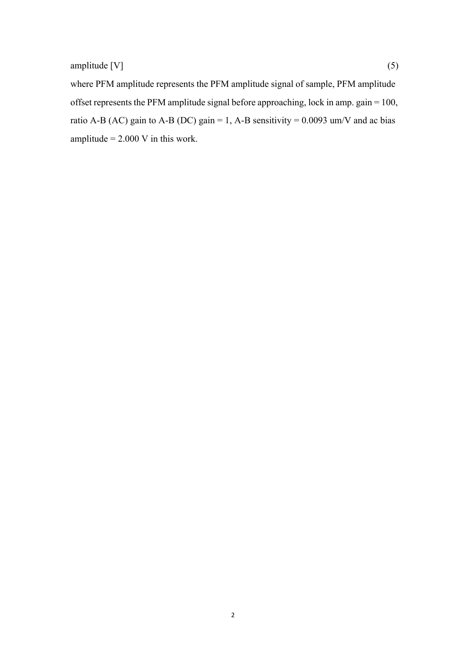where PFM amplitude represents the PFM amplitude signal of sample, PFM amplitude offset represents the PFM amplitude signal before approaching, lock in amp. gain = 100, ratio A-B (AC) gain to A-B (DC) gain = 1, A-B sensitivity =  $0.0093$  um/V and ac bias amplitude  $= 2.000$  V in this work.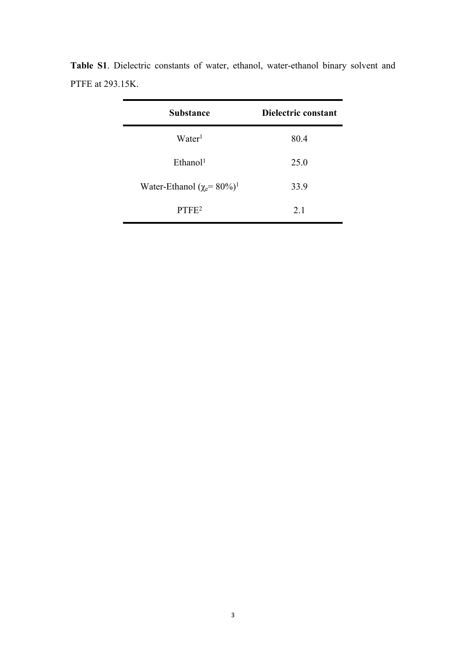| <b>Substance</b>                                      | Dielectric constant |
|-------------------------------------------------------|---------------------|
| Water <sup>1</sup>                                    | 80.4                |
| Ethanol <sup>1</sup>                                  | 25.0                |
| Water-Ethanol ( $\chi$ <sup>=</sup> 80%) <sup>1</sup> | 33.9                |
| PTFE <sup>2</sup>                                     | 21                  |

**Table S1**. Dielectric constants of water, ethanol, water-ethanol binary solvent and PTFE at 293.15K.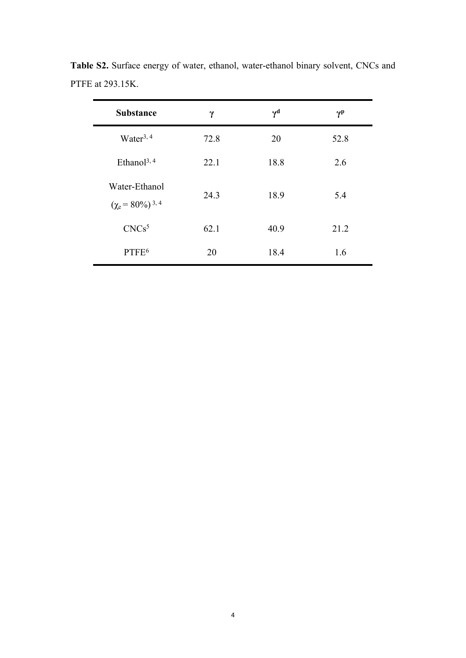| <b>Substance</b>                                   | γ    | $\gamma^{\rm d}$ | $\gamma$ <sup>p</sup> |
|----------------------------------------------------|------|------------------|-----------------------|
| Water <sup>3, 4</sup>                              | 72.8 | 20               | 52.8                  |
| Ethanol <sup>3, 4</sup>                            | 22.1 | 18.8             | 2.6                   |
| Water-Ethanol<br>$(\chi_e = 80\%)$ <sup>3, 4</sup> | 24.3 | 18.9             | 5.4                   |
| CNCs <sup>5</sup>                                  | 62.1 | 40.9             | 21.2                  |
| PTFF <sup>6</sup>                                  | 20   | 18.4             | 1.6                   |

**Table S2.** Surface energy of water, ethanol, water-ethanol binary solvent, CNCs and PTFE at 293.15K.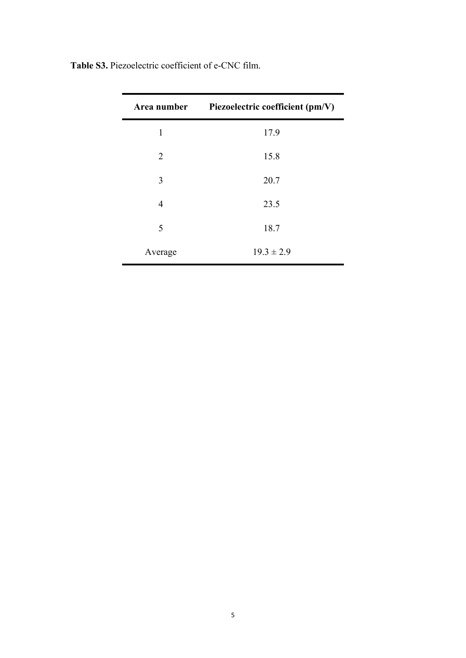| Area number    | Piezoelectric coefficient (pm/V) |
|----------------|----------------------------------|
| 1              | 17.9                             |
| 2              | 15.8                             |
| 3              | 20.7                             |
| $\overline{4}$ | 23.5                             |
| 5              | 18.7                             |
| Average        | $19.3 \pm 2.9$                   |

**Table S3.** Piezoelectric coefficient of e-CNC film.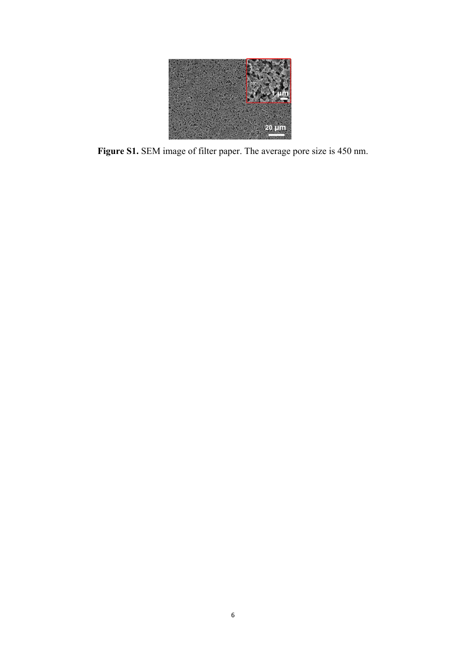

**Figure S1.** SEM image of filter paper. The average pore size is 450 nm.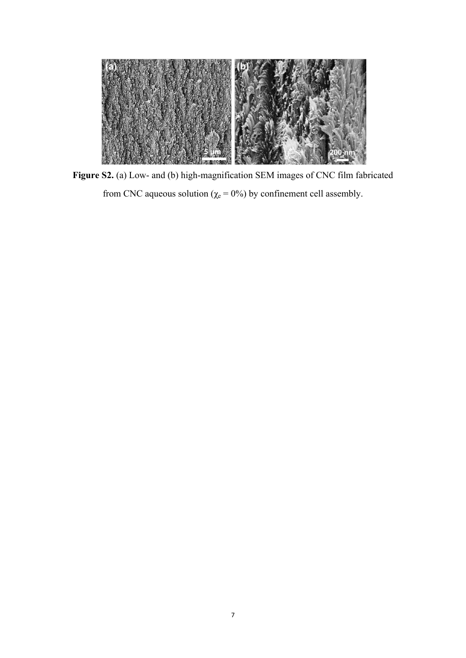

**Figure S2.** (a) Low- and (b) high-magnification SEM images of CNC film fabricated from CNC aqueous solution ( $\chi$ <sup>e</sup> = 0%) by confinement cell assembly.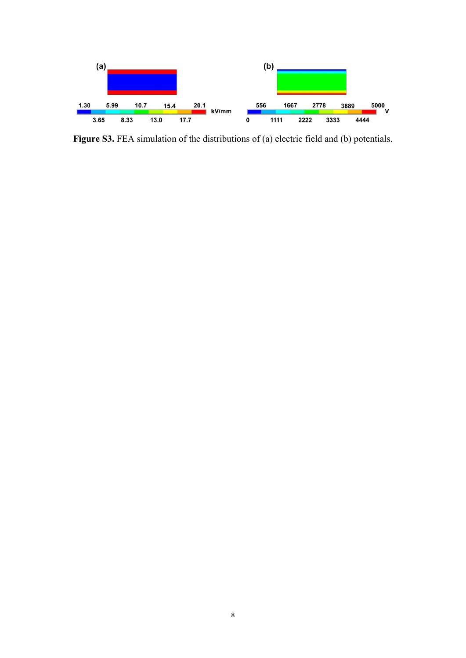

Figure S3. FEA simulation of the distributions of (a) electric field and (b) potentials.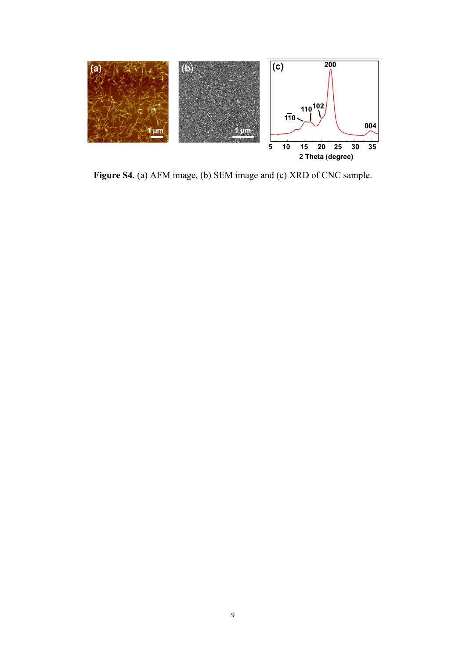

**Figure S4.** (a) AFM image, (b) SEM image and (c) XRD of CNC sample.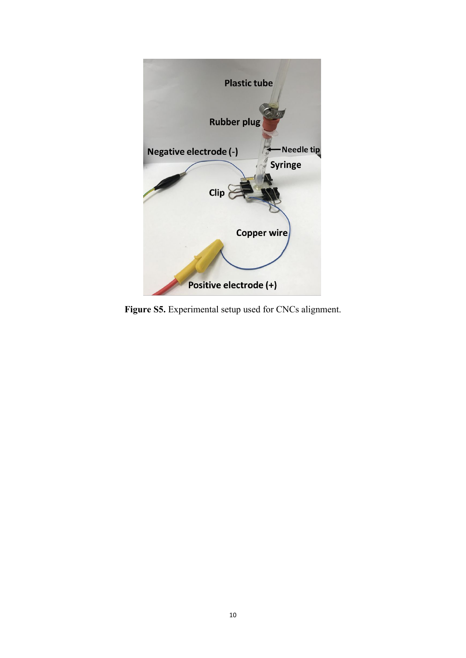

**Figure S5.** Experimental setup used for CNCs alignment.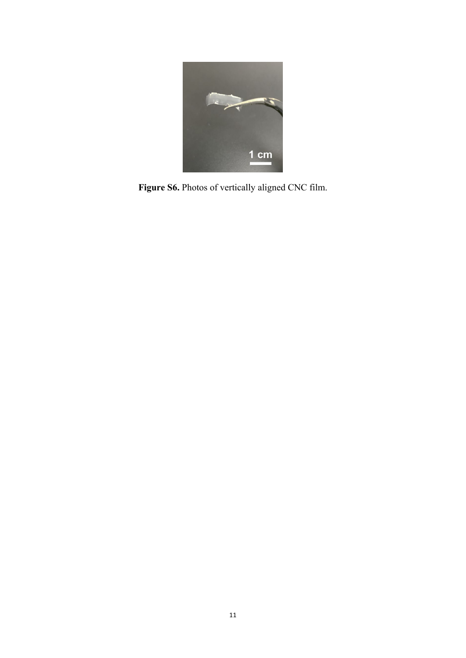

**Figure S6.** Photos of vertically aligned CNC film.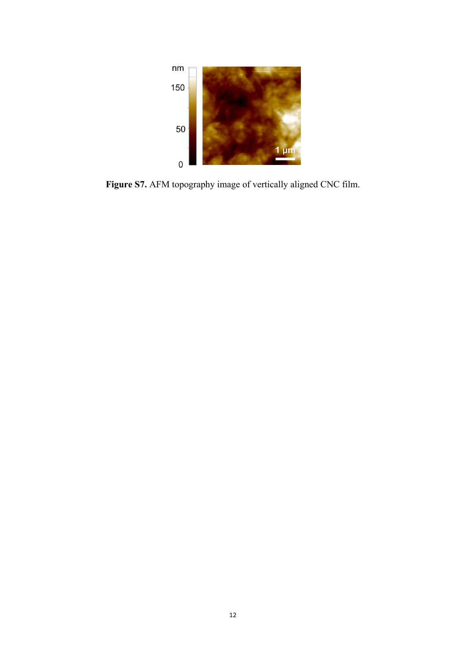

**Figure S7.** AFM topography image of vertically aligned CNC film.